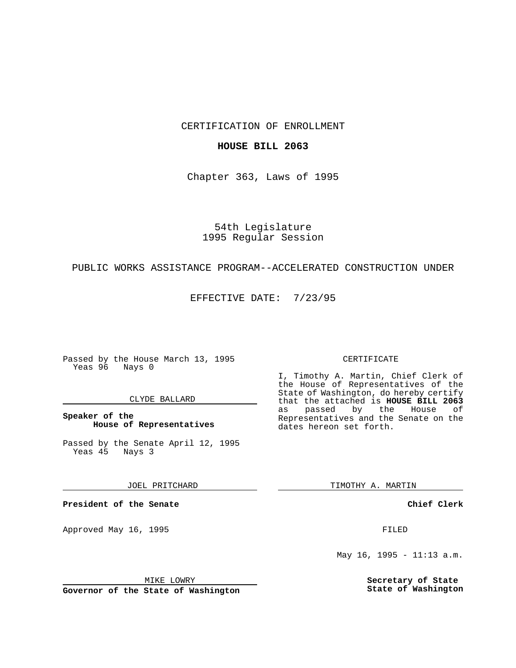CERTIFICATION OF ENROLLMENT

## **HOUSE BILL 2063**

Chapter 363, Laws of 1995

54th Legislature 1995 Regular Session

# PUBLIC WORKS ASSISTANCE PROGRAM--ACCELERATED CONSTRUCTION UNDER

EFFECTIVE DATE: 7/23/95

Passed by the House March 13, 1995 Yeas 96 Nays 0

### CLYDE BALLARD

**Speaker of the House of Representatives**

Passed by the Senate April 12, 1995<br>Yeas 45 Nays 3 Yeas 45

JOEL PRITCHARD

**President of the Senate**

Approved May 16, 1995 **FILED** 

MIKE LOWRY

**Governor of the State of Washington**

#### CERTIFICATE

I, Timothy A. Martin, Chief Clerk of the House of Representatives of the State of Washington, do hereby certify that the attached is **HOUSE BILL 2063** as passed by the Representatives and the Senate on the dates hereon set forth.

TIMOTHY A. MARTIN

**Chief Clerk**

May 16, 1995 - 11:13 a.m.

**Secretary of State State of Washington**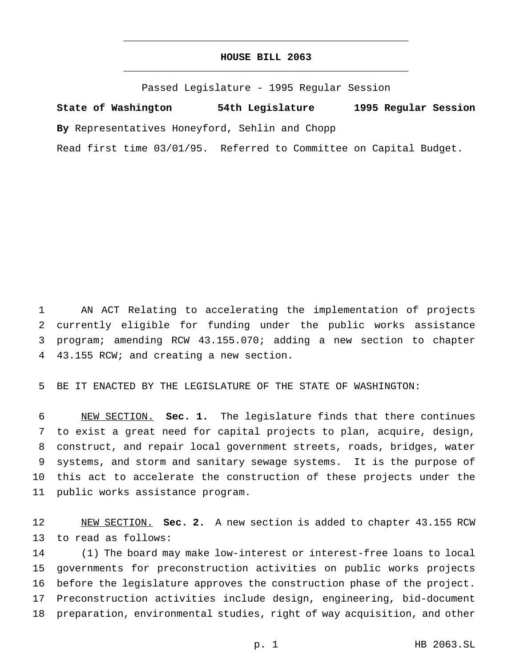# **HOUSE BILL 2063** \_\_\_\_\_\_\_\_\_\_\_\_\_\_\_\_\_\_\_\_\_\_\_\_\_\_\_\_\_\_\_\_\_\_\_\_\_\_\_\_\_\_\_\_\_\_\_

\_\_\_\_\_\_\_\_\_\_\_\_\_\_\_\_\_\_\_\_\_\_\_\_\_\_\_\_\_\_\_\_\_\_\_\_\_\_\_\_\_\_\_\_\_\_\_

Passed Legislature - 1995 Regular Session

**State of Washington 54th Legislature 1995 Regular Session By** Representatives Honeyford, Sehlin and Chopp

Read first time 03/01/95. Referred to Committee on Capital Budget.

 AN ACT Relating to accelerating the implementation of projects currently eligible for funding under the public works assistance program; amending RCW 43.155.070; adding a new section to chapter 43.155 RCW; and creating a new section.

BE IT ENACTED BY THE LEGISLATURE OF THE STATE OF WASHINGTON:

 NEW SECTION. **Sec. 1.** The legislature finds that there continues to exist a great need for capital projects to plan, acquire, design, construct, and repair local government streets, roads, bridges, water systems, and storm and sanitary sewage systems. It is the purpose of this act to accelerate the construction of these projects under the public works assistance program.

 NEW SECTION. **Sec. 2.** A new section is added to chapter 43.155 RCW to read as follows:

 (1) The board may make low-interest or interest-free loans to local governments for preconstruction activities on public works projects before the legislature approves the construction phase of the project. Preconstruction activities include design, engineering, bid-document preparation, environmental studies, right of way acquisition, and other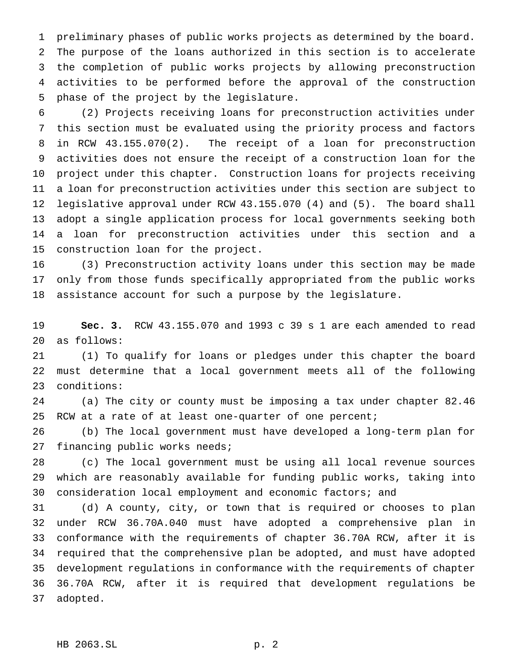preliminary phases of public works projects as determined by the board. The purpose of the loans authorized in this section is to accelerate the completion of public works projects by allowing preconstruction activities to be performed before the approval of the construction phase of the project by the legislature.

 (2) Projects receiving loans for preconstruction activities under this section must be evaluated using the priority process and factors in RCW 43.155.070(2). The receipt of a loan for preconstruction activities does not ensure the receipt of a construction loan for the project under this chapter. Construction loans for projects receiving a loan for preconstruction activities under this section are subject to legislative approval under RCW 43.155.070 (4) and (5). The board shall adopt a single application process for local governments seeking both a loan for preconstruction activities under this section and a construction loan for the project.

 (3) Preconstruction activity loans under this section may be made only from those funds specifically appropriated from the public works assistance account for such a purpose by the legislature.

 **Sec. 3.** RCW 43.155.070 and 1993 c 39 s 1 are each amended to read as follows:

 (1) To qualify for loans or pledges under this chapter the board must determine that a local government meets all of the following conditions:

 (a) The city or county must be imposing a tax under chapter 82.46 RCW at a rate of at least one-quarter of one percent;

 (b) The local government must have developed a long-term plan for 27 financing public works needs;

 (c) The local government must be using all local revenue sources which are reasonably available for funding public works, taking into consideration local employment and economic factors; and

 (d) A county, city, or town that is required or chooses to plan under RCW 36.70A.040 must have adopted a comprehensive plan in conformance with the requirements of chapter 36.70A RCW, after it is required that the comprehensive plan be adopted, and must have adopted development regulations in conformance with the requirements of chapter 36.70A RCW, after it is required that development regulations be adopted.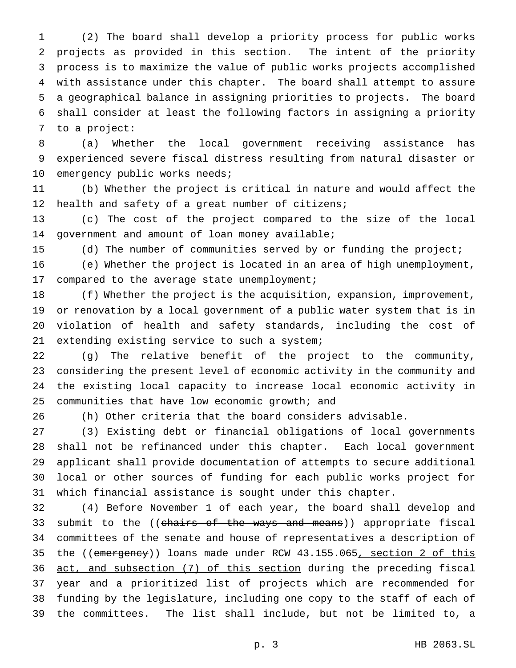(2) The board shall develop a priority process for public works projects as provided in this section. The intent of the priority process is to maximize the value of public works projects accomplished with assistance under this chapter. The board shall attempt to assure a geographical balance in assigning priorities to projects. The board shall consider at least the following factors in assigning a priority to a project:

 (a) Whether the local government receiving assistance has experienced severe fiscal distress resulting from natural disaster or 10 emergency public works needs;

 (b) Whether the project is critical in nature and would affect the health and safety of a great number of citizens;

 (c) The cost of the project compared to the size of the local government and amount of loan money available;

(d) The number of communities served by or funding the project;

 (e) Whether the project is located in an area of high unemployment, compared to the average state unemployment;

 (f) Whether the project is the acquisition, expansion, improvement, or renovation by a local government of a public water system that is in violation of health and safety standards, including the cost of extending existing service to such a system;

 (g) The relative benefit of the project to the community, considering the present level of economic activity in the community and the existing local capacity to increase local economic activity in communities that have low economic growth; and

(h) Other criteria that the board considers advisable.

 (3) Existing debt or financial obligations of local governments shall not be refinanced under this chapter. Each local government applicant shall provide documentation of attempts to secure additional local or other sources of funding for each public works project for which financial assistance is sought under this chapter.

 (4) Before November 1 of each year, the board shall develop and 33 submit to the ((chairs of the ways and means)) appropriate fiscal committees of the senate and house of representatives a description of 35 the ((emergency)) loans made under RCW 43.155.065, section 2 of this 36 act, and subsection (7) of this section during the preceding fiscal year and a prioritized list of projects which are recommended for funding by the legislature, including one copy to the staff of each of the committees. The list shall include, but not be limited to, a